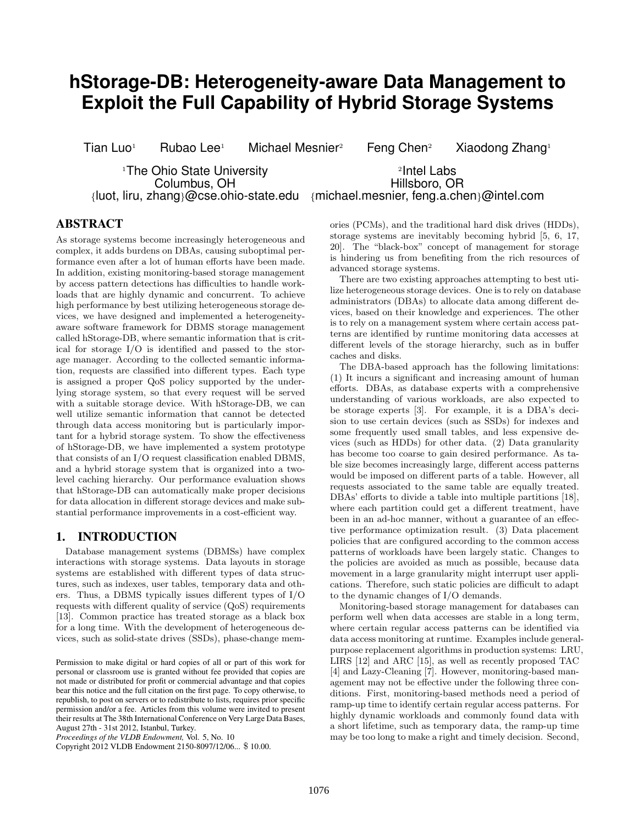# **hStorage-DB: Heterogeneity-aware Data Management to Exploit the Full Capability of Hybrid Storage Systems**

Tian Luo<sup>1</sup> Rubao Lee<sup>1</sup> Michael Mesnier<sup>2</sup> Feng Chen<sup>2</sup> Xiaodong Zhang<sup>1</sup>

<sup>1</sup>The Ohio State University<br>Columbus, OH **2** Phillsboro, OR Columbus, OH

<sup>2</sup>Intel Labs {luot, liru, zhang}@cse.ohio-state.edu {michael.mesnier, feng.a.chen}@intel.com

# ABSTRACT

As storage systems become increasingly heterogeneous and complex, it adds burdens on DBAs, causing suboptimal performance even after a lot of human efforts have been made. In addition, existing monitoring-based storage management by access pattern detections has difficulties to handle workloads that are highly dynamic and concurrent. To achieve high performance by best utilizing heterogeneous storage devices, we have designed and implemented a heterogeneityaware software framework for DBMS storage management called hStorage-DB, where semantic information that is critical for storage I/O is identified and passed to the storage manager. According to the collected semantic information, requests are classified into different types. Each type is assigned a proper QoS policy supported by the underlying storage system, so that every request will be served with a suitable storage device. With hStorage-DB, we can well utilize semantic information that cannot be detected through data access monitoring but is particularly important for a hybrid storage system. To show the effectiveness of hStorage-DB, we have implemented a system prototype that consists of an I/O request classification enabled DBMS, and a hybrid storage system that is organized into a twolevel caching hierarchy. Our performance evaluation shows that hStorage-DB can automatically make proper decisions for data allocation in different storage devices and make substantial performance improvements in a cost-efficient way.

## 1. INTRODUCTION

Database management systems (DBMSs) have complex interactions with storage systems. Data layouts in storage systems are established with different types of data structures, such as indexes, user tables, temporary data and others. Thus, a DBMS typically issues different types of I/O requests with different quality of service (QoS) requirements [13]. Common practice has treated storage as a black box for a long time. With the development of heterogeneous devices, such as solid-state drives (SSDs), phase-change mem-

*Proceedings of the VLDB Endowment,* Vol. 5, No. 10

Copyright 2012 VLDB Endowment 2150-8097/12/06... \$ 10.00.

ories (PCMs), and the traditional hard disk drives (HDDs), storage systems are inevitably becoming hybrid [5, 6, 17, 20]. The "black-box" concept of management for storage is hindering us from benefiting from the rich resources of advanced storage systems.

There are two existing approaches attempting to best utilize heterogeneous storage devices. One is to rely on database administrators (DBAs) to allocate data among different devices, based on their knowledge and experiences. The other is to rely on a management system where certain access patterns are identified by runtime monitoring data accesses at different levels of the storage hierarchy, such as in buffer caches and disks.

The DBA-based approach has the following limitations: (1) It incurs a significant and increasing amount of human efforts. DBAs, as database experts with a comprehensive understanding of various workloads, are also expected to be storage experts [3]. For example, it is a DBA's decision to use certain devices (such as SSDs) for indexes and some frequently used small tables, and less expensive devices (such as HDDs) for other data. (2) Data granularity has become too coarse to gain desired performance. As table size becomes increasingly large, different access patterns would be imposed on different parts of a table. However, all requests associated to the same table are equally treated. DBAs' efforts to divide a table into multiple partitions [18], where each partition could get a different treatment, have been in an ad-hoc manner, without a guarantee of an effective performance optimization result. (3) Data placement policies that are configured according to the common access patterns of workloads have been largely static. Changes to the policies are avoided as much as possible, because data movement in a large granularity might interrupt user applications. Therefore, such static policies are difficult to adapt to the dynamic changes of I/O demands.

Monitoring-based storage management for databases can perform well when data accesses are stable in a long term, where certain regular access patterns can be identified via data access monitoring at runtime. Examples include generalpurpose replacement algorithms in production systems: LRU, LIRS [12] and ARC [15], as well as recently proposed TAC [4] and Lazy-Cleaning [7]. However, monitoring-based management may not be effective under the following three conditions. First, monitoring-based methods need a period of ramp-up time to identify certain regular access patterns. For highly dynamic workloads and commonly found data with a short lifetime, such as temporary data, the ramp-up time may be too long to make a right and timely decision. Second,

Permission to make digital or hard copies of all or part of this work for personal or classroom use is granted without fee provided that copies are not made or distributed for profit or commercial advantage and that copies bear this notice and the full citation on the first page. To copy otherwise, to republish, to post on servers or to redistribute to lists, requires prior specific permission and/or a fee. Articles from this volume were invited to present their results at The 38th International Conference on Very Large Data Bases, August 27th - 31st 2012, Istanbul, Turkey.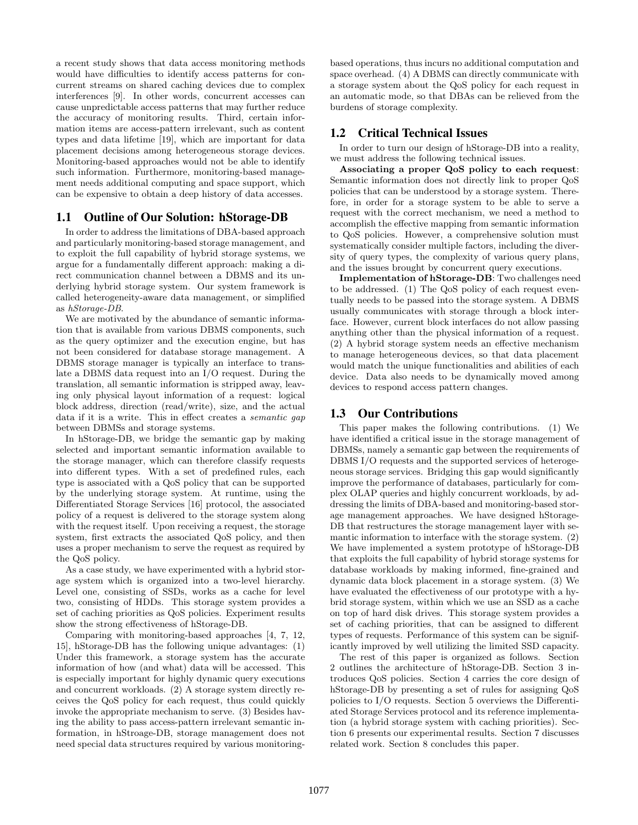a recent study shows that data access monitoring methods would have difficulties to identify access patterns for concurrent streams on shared caching devices due to complex interferences [9]. In other words, concurrent accesses can cause unpredictable access patterns that may further reduce the accuracy of monitoring results. Third, certain information items are access-pattern irrelevant, such as content types and data lifetime [19], which are important for data placement decisions among heterogeneous storage devices. Monitoring-based approaches would not be able to identify such information. Furthermore, monitoring-based management needs additional computing and space support, which can be expensive to obtain a deep history of data accesses.

# 1.1 Outline of Our Solution: hStorage-DB

In order to address the limitations of DBA-based approach and particularly monitoring-based storage management, and to exploit the full capability of hybrid storage systems, we argue for a fundamentally different approach: making a direct communication channel between a DBMS and its underlying hybrid storage system. Our system framework is called heterogeneity-aware data management, or simplified as hStorage-DB.

We are motivated by the abundance of semantic information that is available from various DBMS components, such as the query optimizer and the execution engine, but has not been considered for database storage management. A DBMS storage manager is typically an interface to translate a DBMS data request into an I/O request. During the translation, all semantic information is stripped away, leaving only physical layout information of a request: logical block address, direction (read/write), size, and the actual data if it is a write. This in effect creates a semantic gap between DBMSs and storage systems.

In hStorage-DB, we bridge the semantic gap by making selected and important semantic information available to the storage manager, which can therefore classify requests into different types. With a set of predefined rules, each type is associated with a QoS policy that can be supported by the underlying storage system. At runtime, using the Differentiated Storage Services [16] protocol, the associated policy of a request is delivered to the storage system along with the request itself. Upon receiving a request, the storage system, first extracts the associated QoS policy, and then uses a proper mechanism to serve the request as required by the QoS policy.

As a case study, we have experimented with a hybrid storage system which is organized into a two-level hierarchy. Level one, consisting of SSDs, works as a cache for level two, consisting of HDDs. This storage system provides a set of caching priorities as QoS policies. Experiment results show the strong effectiveness of hStorage-DB.

Comparing with monitoring-based approaches [4, 7, 12, 15], hStorage-DB has the following unique advantages: (1) Under this framework, a storage system has the accurate information of how (and what) data will be accessed. This is especially important for highly dynamic query executions and concurrent workloads. (2) A storage system directly receives the QoS policy for each request, thus could quickly invoke the appropriate mechanism to serve. (3) Besides having the ability to pass access-pattern irrelevant semantic information, in hStroage-DB, storage management does not need special data structures required by various monitoringbased operations, thus incurs no additional computation and space overhead. (4) A DBMS can directly communicate with a storage system about the QoS policy for each request in an automatic mode, so that DBAs can be relieved from the burdens of storage complexity.

# 1.2 Critical Technical Issues

In order to turn our design of hStorage-DB into a reality, we must address the following technical issues.

Associating a proper QoS policy to each request: Semantic information does not directly link to proper QoS policies that can be understood by a storage system. Therefore, in order for a storage system to be able to serve a request with the correct mechanism, we need a method to accomplish the effective mapping from semantic information to QoS policies. However, a comprehensive solution must systematically consider multiple factors, including the diversity of query types, the complexity of various query plans, and the issues brought by concurrent query executions.

Implementation of hStorage-DB: Two challenges need to be addressed. (1) The QoS policy of each request eventually needs to be passed into the storage system. A DBMS usually communicates with storage through a block interface. However, current block interfaces do not allow passing anything other than the physical information of a request. (2) A hybrid storage system needs an effective mechanism to manage heterogeneous devices, so that data placement would match the unique functionalities and abilities of each device. Data also needs to be dynamically moved among devices to respond access pattern changes.

## 1.3 Our Contributions

This paper makes the following contributions. (1) We have identified a critical issue in the storage management of DBMSs, namely a semantic gap between the requirements of DBMS I/O requests and the supported services of heterogeneous storage services. Bridging this gap would significantly improve the performance of databases, particularly for complex OLAP queries and highly concurrent workloads, by addressing the limits of DBA-based and monitoring-based storage management approaches. We have designed hStorage-DB that restructures the storage management layer with semantic information to interface with the storage system. (2) We have implemented a system prototype of hStorage-DB that exploits the full capability of hybrid storage systems for database workloads by making informed, fine-grained and dynamic data block placement in a storage system. (3) We have evaluated the effectiveness of our prototype with a hybrid storage system, within which we use an SSD as a cache on top of hard disk drives. This storage system provides a set of caching priorities, that can be assigned to different types of requests. Performance of this system can be significantly improved by well utilizing the limited SSD capacity.

The rest of this paper is organized as follows. Section 2 outlines the architecture of hStorage-DB. Section 3 introduces QoS policies. Section 4 carries the core design of hStorage-DB by presenting a set of rules for assigning QoS policies to I/O requests. Section 5 overviews the Differentiated Storage Services protocol and its reference implementation (a hybrid storage system with caching priorities). Section 6 presents our experimental results. Section 7 discusses related work. Section 8 concludes this paper.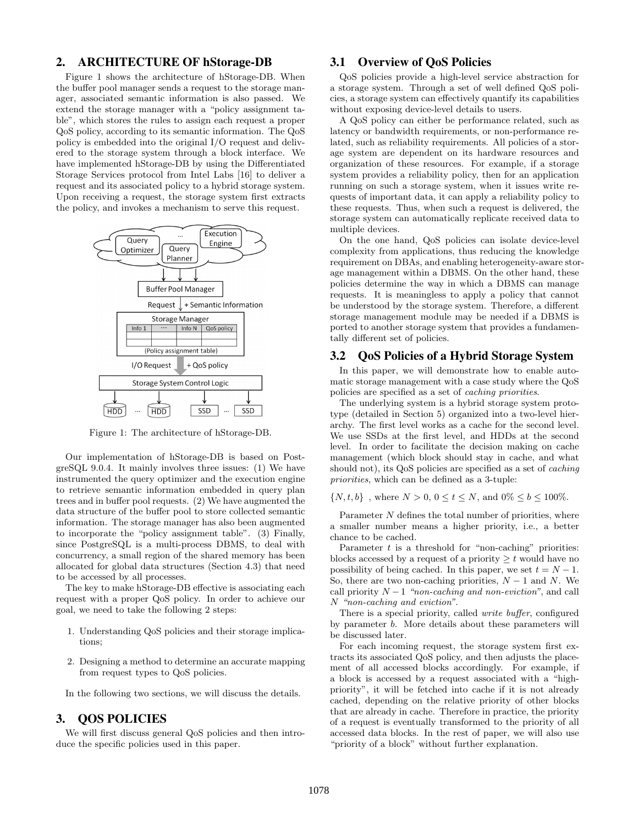# 2. ARCHITECTURE OF hStorage-DB

Figure 1 shows the architecture of hStorage-DB. When the buffer pool manager sends a request to the storage manager, associated semantic information is also passed. We extend the storage manager with a "policy assignment table", which stores the rules to assign each request a proper QoS policy, according to its semantic information. The QoS policy is embedded into the original I/O request and delivered to the storage system through a block interface. We have implemented hStorage-DB by using the Differentiated Storage Services protocol from Intel Labs [16] to deliver a request and its associated policy to a hybrid storage system. Upon receiving a request, the storage system first extracts the policy, and invokes a mechanism to serve this request.



Figure 1: The architecture of hStorage-DB.

Our implementation of hStorage-DB is based on PostgreSQL 9.0.4. It mainly involves three issues: (1) We have instrumented the query optimizer and the execution engine to retrieve semantic information embedded in query plan trees and in buffer pool requests. (2) We have augmented the data structure of the buffer pool to store collected semantic information. The storage manager has also been augmented to incorporate the "policy assignment table". (3) Finally, since PostgreSQL is a multi-process DBMS, to deal with concurrency, a small region of the shared memory has been allocated for global data structures (Section 4.3) that need to be accessed by all processes.

The key to make hStorage-DB effective is associating each request with a proper QoS policy. In order to achieve our goal, we need to take the following 2 steps:

- 1. Understanding QoS policies and their storage implications;
- 2. Designing a method to determine an accurate mapping from request types to QoS policies.

In the following two sections, we will discuss the details.

# 3. QOS POLICIES

We will first discuss general QoS policies and then introduce the specific policies used in this paper.

# 3.1 Overview of QoS Policies

QoS policies provide a high-level service abstraction for a storage system. Through a set of well defined QoS policies, a storage system can effectively quantify its capabilities without exposing device-level details to users.

A QoS policy can either be performance related, such as latency or bandwidth requirements, or non-performance related, such as reliability requirements. All policies of a storage system are dependent on its hardware resources and organization of these resources. For example, if a storage system provides a reliability policy, then for an application running on such a storage system, when it issues write requests of important data, it can apply a reliability policy to these requests. Thus, when such a request is delivered, the storage system can automatically replicate received data to multiple devices.

On the one hand, QoS policies can isolate device-level complexity from applications, thus reducing the knowledge requirement on DBAs, and enabling heterogeneity-aware storage management within a DBMS. On the other hand, these policies determine the way in which a DBMS can manage requests. It is meaningless to apply a policy that cannot be understood by the storage system. Therefore, a different storage management module may be needed if a DBMS is ported to another storage system that provides a fundamentally different set of policies.

## 3.2 QoS Policies of a Hybrid Storage System

In this paper, we will demonstrate how to enable automatic storage management with a case study where the QoS policies are specified as a set of caching priorities.

The underlying system is a hybrid storage system prototype (detailed in Section 5) organized into a two-level hierarchy. The first level works as a cache for the second level. We use SSDs at the first level, and HDDs at the second level. In order to facilitate the decision making on cache management (which block should stay in cache, and what should not), its QoS policies are specified as a set of caching priorities, which can be defined as a 3-tuple:

 $\{N, t, b\}$ , where  $N > 0, 0 \le t \le N$ , and  $0\% \le b \le 100\%$ .

Parameter N defines the total number of priorities, where a smaller number means a higher priority, i.e., a better chance to be cached.

Parameter  $t$  is a threshold for "non-caching" priorities: blocks accessed by a request of a priority  $\geq t$  would have no possibility of being cached. In this paper, we set  $t = N - 1$ . So, there are two non-caching priorities,  $N-1$  and N. We call priority  $N-1$  "non-caching and non-eviction", and call N "non-caching and eviction".

There is a special priority, called write buffer, configured by parameter b. More details about these parameters will be discussed later.

For each incoming request, the storage system first extracts its associated QoS policy, and then adjusts the placement of all accessed blocks accordingly. For example, if a block is accessed by a request associated with a "highpriority", it will be fetched into cache if it is not already cached, depending on the relative priority of other blocks that are already in cache. Therefore in practice, the priority of a request is eventually transformed to the priority of all accessed data blocks. In the rest of paper, we will also use "priority of a block" without further explanation.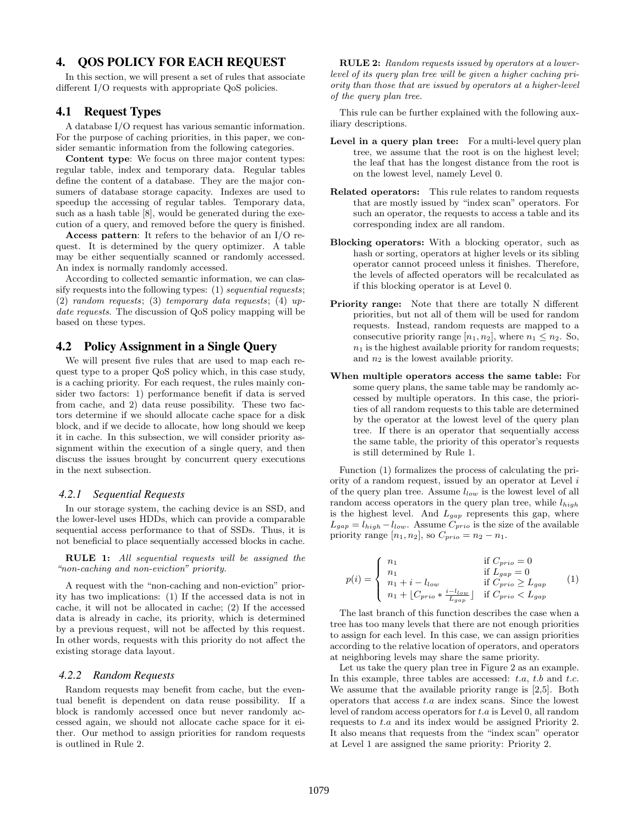# 4. QOS POLICY FOR EACH REQUEST

In this section, we will present a set of rules that associate different I/O requests with appropriate QoS policies.

## 4.1 Request Types

A database I/O request has various semantic information. For the purpose of caching priorities, in this paper, we consider semantic information from the following categories.

Content type: We focus on three major content types: regular table, index and temporary data. Regular tables define the content of a database. They are the major consumers of database storage capacity. Indexes are used to speedup the accessing of regular tables. Temporary data, such as a hash table [8], would be generated during the execution of a query, and removed before the query is finished.

Access pattern: It refers to the behavior of an I/O request. It is determined by the query optimizer. A table may be either sequentially scanned or randomly accessed. An index is normally randomly accessed.

According to collected semantic information, we can classify requests into the following types: (1) sequential requests; (2) random requests; (3) temporary data requests; (4) update requests. The discussion of QoS policy mapping will be based on these types.

#### 4.2 Policy Assignment in a Single Query

We will present five rules that are used to map each request type to a proper QoS policy which, in this case study, is a caching priority. For each request, the rules mainly consider two factors: 1) performance benefit if data is served from cache, and 2) data reuse possibility. These two factors determine if we should allocate cache space for a disk block, and if we decide to allocate, how long should we keep it in cache. In this subsection, we will consider priority assignment within the execution of a single query, and then discuss the issues brought by concurrent query executions in the next subsection.

#### *4.2.1 Sequential Requests*

In our storage system, the caching device is an SSD, and the lower-level uses HDDs, which can provide a comparable sequential access performance to that of SSDs. Thus, it is not beneficial to place sequentially accessed blocks in cache.

RULE 1: All sequential requests will be assigned the "non-caching and non-eviction" priority.

A request with the "non-caching and non-eviction" priority has two implications: (1) If the accessed data is not in cache, it will not be allocated in cache; (2) If the accessed data is already in cache, its priority, which is determined by a previous request, will not be affected by this request. In other words, requests with this priority do not affect the existing storage data layout.

#### *4.2.2 Random Requests*

Random requests may benefit from cache, but the eventual benefit is dependent on data reuse possibility. If a block is randomly accessed once but never randomly accessed again, we should not allocate cache space for it either. Our method to assign priorities for random requests is outlined in Rule 2.

RULE 2: Random requests issued by operators at a lowerlevel of its query plan tree will be given a higher caching priority than those that are issued by operators at a higher-level of the query plan tree.

This rule can be further explained with the following auxiliary descriptions.

- Level in a query plan tree: For a multi-level query plan tree, we assume that the root is on the highest level; the leaf that has the longest distance from the root is on the lowest level, namely Level 0.
- Related operators: This rule relates to random requests that are mostly issued by "index scan" operators. For such an operator, the requests to access a table and its corresponding index are all random.
- Blocking operators: With a blocking operator, such as hash or sorting, operators at higher levels or its sibling operator cannot proceed unless it finishes. Therefore, the levels of affected operators will be recalculated as if this blocking operator is at Level 0.
- Priority range: Note that there are totally N different priorities, but not all of them will be used for random requests. Instead, random requests are mapped to a consecutive priority range  $[n_1, n_2]$ , where  $n_1 \leq n_2$ . So,  $n_1$  is the highest available priority for random requests; and  $n_2$  is the lowest available priority.
- When multiple operators access the same table: For some query plans, the same table may be randomly accessed by multiple operators. In this case, the priorities of all random requests to this table are determined by the operator at the lowest level of the query plan tree. If there is an operator that sequentially access the same table, the priority of this operator's requests is still determined by Rule 1.

Function (1) formalizes the process of calculating the priority of a random request, issued by an operator at Level i of the query plan tree. Assume  $l_{low}$  is the lowest level of all random access operators in the query plan tree, while  $l_{high}$ is the highest level. And  $L_{gap}$  represents this gap, where  $L_{gap} = l_{high} - l_{low}$ . Assume  $C_{prio}$  is the size of the available priority range  $[n_1, n_2]$ , so  $C_{\text{prio}} = n_2 - n_1$ .

$$
p(i) = \begin{cases} n_1 & \text{if } C_{prio} = 0\\ n_1 & \text{if } L_{gap} = 0\\ n_1 + i - l_{low} & \text{if } C_{prio} \ge L_{gap}\\ n_1 + \lfloor C_{prio} * \frac{i - l_{low}}{L_{gap}} \rfloor & \text{if } C_{prio} < L_{gap} \end{cases} \tag{1}
$$

The last branch of this function describes the case when a tree has too many levels that there are not enough priorities to assign for each level. In this case, we can assign priorities according to the relative location of operators, and operators at neighboring levels may share the same priority.

Let us take the query plan tree in Figure 2 as an example. In this example, three tables are accessed: t.a, t.b and t.c. We assume that the available priority range is [2,5]. Both operators that access t.a are index scans. Since the lowest level of random access operators for t.a is Level 0, all random requests to t.a and its index would be assigned Priority 2. It also means that requests from the "index scan" operator at Level 1 are assigned the same priority: Priority 2.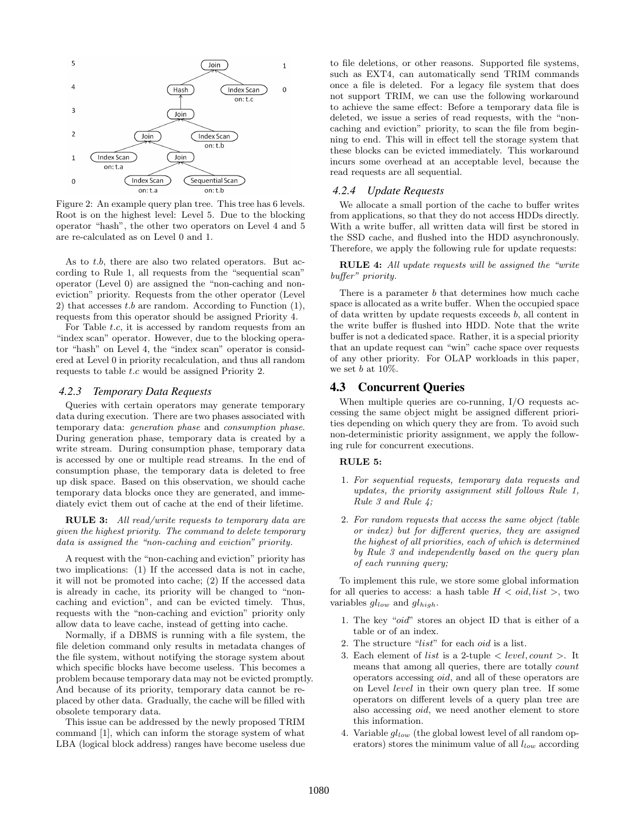

Figure 2: An example query plan tree. This tree has 6 levels. Root is on the highest level: Level 5. Due to the blocking operator "hash", the other two operators on Level 4 and 5 are re-calculated as on Level 0 and 1.

As to t.b, there are also two related operators. But according to Rule 1, all requests from the "sequential scan" operator (Level 0) are assigned the "non-caching and noneviction" priority. Requests from the other operator (Level 2) that accesses  $t.b$  are random. According to Function  $(1)$ , requests from this operator should be assigned Priority 4.

For Table t.c, it is accessed by random requests from an "index scan" operator. However, due to the blocking operator "hash" on Level 4, the "index scan" operator is considered at Level 0 in priority recalculation, and thus all random requests to table t.c would be assigned Priority 2.

#### *4.2.3 Temporary Data Requests*

Queries with certain operators may generate temporary data during execution. There are two phases associated with temporary data: generation phase and consumption phase. During generation phase, temporary data is created by a write stream. During consumption phase, temporary data is accessed by one or multiple read streams. In the end of consumption phase, the temporary data is deleted to free up disk space. Based on this observation, we should cache temporary data blocks once they are generated, and immediately evict them out of cache at the end of their lifetime.

RULE 3: All read/write requests to temporary data are given the highest priority. The command to delete temporary data is assigned the "non-caching and eviction" priority.

A request with the "non-caching and eviction" priority has two implications: (1) If the accessed data is not in cache, it will not be promoted into cache; (2) If the accessed data is already in cache, its priority will be changed to "noncaching and eviction", and can be evicted timely. Thus, requests with the "non-caching and eviction" priority only allow data to leave cache, instead of getting into cache.

Normally, if a DBMS is running with a file system, the file deletion command only results in metadata changes of the file system, without notifying the storage system about which specific blocks have become useless. This becomes a problem because temporary data may not be evicted promptly. And because of its priority, temporary data cannot be replaced by other data. Gradually, the cache will be filled with obsolete temporary data.

This issue can be addressed by the newly proposed TRIM command [1], which can inform the storage system of what LBA (logical block address) ranges have become useless due to file deletions, or other reasons. Supported file systems, such as EXT4, can automatically send TRIM commands once a file is deleted. For a legacy file system that does not support TRIM, we can use the following workaround to achieve the same effect: Before a temporary data file is deleted, we issue a series of read requests, with the "noncaching and eviction" priority, to scan the file from beginning to end. This will in effect tell the storage system that these blocks can be evicted immediately. This workaround incurs some overhead at an acceptable level, because the read requests are all sequential.

#### *4.2.4 Update Requests*

We allocate a small portion of the cache to buffer writes from applications, so that they do not access HDDs directly. With a write buffer, all written data will first be stored in the SSD cache, and flushed into the HDD asynchronously. Therefore, we apply the following rule for update requests:

RULE 4: All update requests will be assigned the "write buffer" priority.

There is a parameter  $b$  that determines how much cache space is allocated as a write buffer. When the occupied space of data written by update requests exceeds b, all content in the write buffer is flushed into HDD. Note that the write buffer is not a dedicated space. Rather, it is a special priority that an update request can "win" cache space over requests of any other priority. For OLAP workloads in this paper, we set b at  $10\%$ .

## 4.3 Concurrent Queries

When multiple queries are co-running, I/O requests accessing the same object might be assigned different priorities depending on which query they are from. To avoid such non-deterministic priority assignment, we apply the following rule for concurrent executions.

#### RULE 5:

- 1. For sequential requests, temporary data requests and updates, the priority assignment still follows Rule 1, Rule 3 and Rule 4;
- 2. For random requests that access the same object (table or index) but for different queries, they are assigned the highest of all priorities, each of which is determined by Rule 3 and independently based on the query plan of each running query;

To implement this rule, we store some global information for all queries to access: a hash table  $H < \text{oid}, list >$ , two variables  $gl_{low}$  and  $gl_{high}$ .

- 1. The key "oid" stores an object ID that is either of a table or of an index.
- 2. The structure "list" for each oid is a list.
- 3. Each element of *list* is a 2-tuple  $\langle$  *level, count*  $\rangle$ . It means that among all queries, there are totally count operators accessing oid, and all of these operators are on Level level in their own query plan tree. If some operators on different levels of a query plan tree are also accessing oid, we need another element to store this information.
- 4. Variable  $gl_{low}$  (the global lowest level of all random operators) stores the minimum value of all  $l_{low}$  according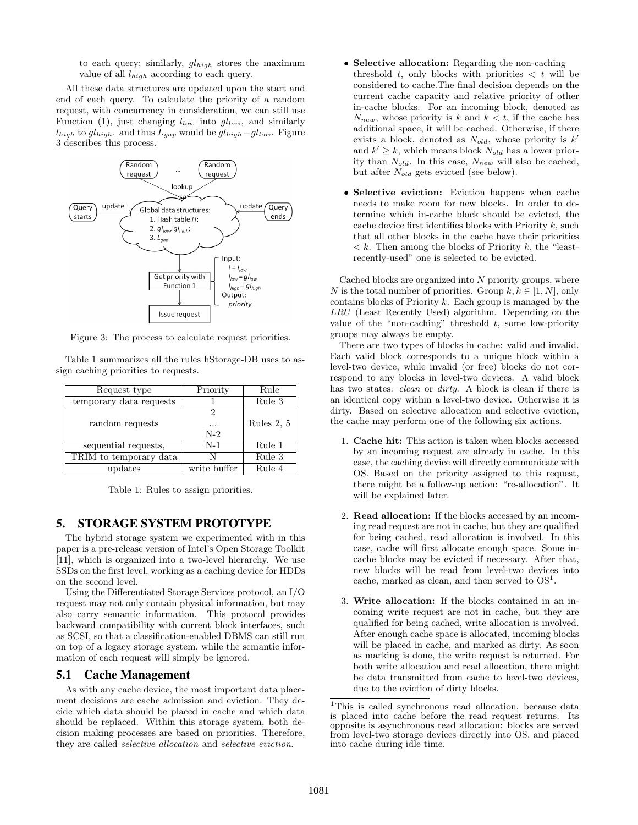to each query; similarly,  $gl_{high}$  stores the maximum value of all  $l_{high}$  according to each query.

All these data structures are updated upon the start and end of each query. To calculate the priority of a random request, with concurrency in consideration, we can still use Function (1), just changing  $l_{low}$  into  $gl_{low}$ , and similarly  $l_{high}$  to  $g_l_{high}$ . and thus  $L_{gap}$  would be  $g_l_{high}-g_l_{low}$ . Figure 3 describes this process.



Figure 3: The process to calculate request priorities.

Table 1 summarizes all the rules hStorage-DB uses to assign caching priorities to requests.

| Request type            | Priority        | Rule         |
|-------------------------|-----------------|--------------|
| temporary data requests |                 | Rule 3       |
| random requests         | 2<br>.<br>$N-2$ | Rules $2, 5$ |
| sequential requests,    | $N-1$           | Rule 1       |
| TRIM to temporary data  |                 | Rule 3       |
| updates                 | write buffer    | Rule 4       |

Table 1: Rules to assign priorities.

# 5. STORAGE SYSTEM PROTOTYPE

The hybrid storage system we experimented with in this paper is a pre-release version of Intel's Open Storage Toolkit [11], which is organized into a two-level hierarchy. We use SSDs on the first level, working as a caching device for HDDs on the second level.

Using the Differentiated Storage Services protocol, an I/O request may not only contain physical information, but may also carry semantic information. This protocol provides backward compatibility with current block interfaces, such as SCSI, so that a classification-enabled DBMS can still run on top of a legacy storage system, while the semantic information of each request will simply be ignored.

#### 5.1 Cache Management

As with any cache device, the most important data placement decisions are cache admission and eviction. They decide which data should be placed in cache and which data should be replaced. Within this storage system, both decision making processes are based on priorities. Therefore, they are called selective allocation and selective eviction.

- Selective allocation: Regarding the non-caching threshold t, only blocks with priorities  $\langle t \rangle$  will be considered to cache.The final decision depends on the current cache capacity and relative priority of other in-cache blocks. For an incoming block, denoted as  $N_{new}$ , whose priority is k and  $k < t$ , if the cache has additional space, it will be cached. Otherwise, if there exists a block, denoted as  $N_{old}$ , whose priority is  $k'$ and  $k' \geq k$ , which means block  $N_{old}$  has a lower priority than  $N_{old}$ . In this case,  $N_{new}$  will also be cached, but after  $N_{old}$  gets evicted (see below).
- Selective eviction: Eviction happens when cache needs to make room for new blocks. In order to determine which in-cache block should be evicted, the cache device first identifies blocks with Priority  $k$ , such that all other blocks in the cache have their priorities  $k$ . Then among the blocks of Priority k, the "leastrecently-used" one is selected to be evicted.

Cached blocks are organized into  $N$  priority groups, where N is the total number of priorities. Group  $k, k \in [1, N]$ , only contains blocks of Priority  $k$ . Each group is managed by the LRU (Least Recently Used) algorithm. Depending on the value of the "non-caching" threshold  $t$ , some low-priority groups may always be empty.

There are two types of blocks in cache: valid and invalid. Each valid block corresponds to a unique block within a level-two device, while invalid (or free) blocks do not correspond to any blocks in level-two devices. A valid block has two states: clean or dirty. A block is clean if there is an identical copy within a level-two device. Otherwise it is dirty. Based on selective allocation and selective eviction, the cache may perform one of the following six actions.

- 1. Cache hit: This action is taken when blocks accessed by an incoming request are already in cache. In this case, the caching device will directly communicate with OS. Based on the priority assigned to this request, there might be a follow-up action: "re-allocation". It will be explained later.
- 2. Read allocation: If the blocks accessed by an incoming read request are not in cache, but they are qualified for being cached, read allocation is involved. In this case, cache will first allocate enough space. Some incache blocks may be evicted if necessary. After that, new blocks will be read from level-two devices into cache, marked as clean, and then served to  $OS<sup>1</sup>$ .
- 3. Write allocation: If the blocks contained in an incoming write request are not in cache, but they are qualified for being cached, write allocation is involved. After enough cache space is allocated, incoming blocks will be placed in cache, and marked as dirty. As soon as marking is done, the write request is returned. For both write allocation and read allocation, there might be data transmitted from cache to level-two devices, due to the eviction of dirty blocks.

<sup>&</sup>lt;sup>1</sup>This is called synchronous read allocation, because data is placed into cache before the read request returns. Its opposite is asynchronous read allocation: blocks are served from level-two storage devices directly into OS, and placed into cache during idle time.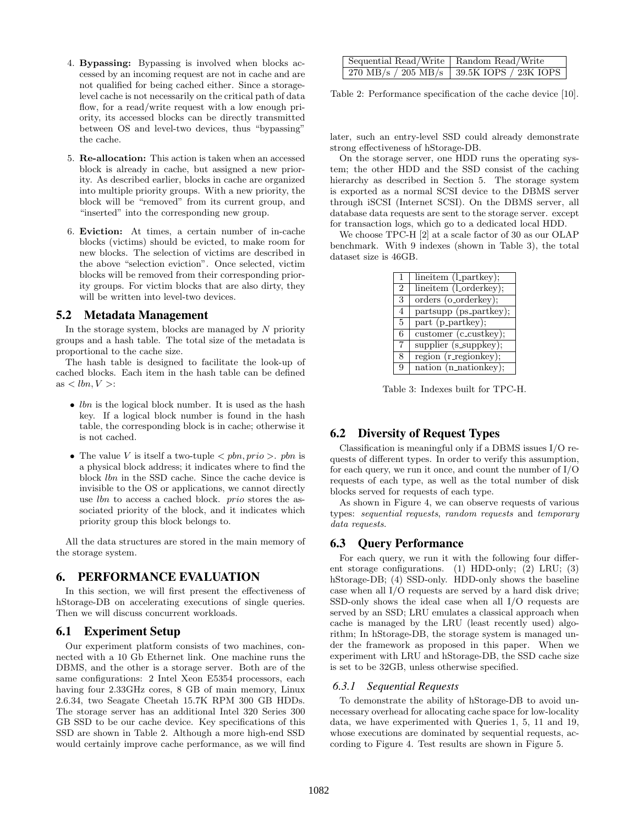- 4. Bypassing: Bypassing is involved when blocks accessed by an incoming request are not in cache and are not qualified for being cached either. Since a storagelevel cache is not necessarily on the critical path of data flow, for a read/write request with a low enough priority, its accessed blocks can be directly transmitted between OS and level-two devices, thus "bypassing" the cache.
- 5. Re-allocation: This action is taken when an accessed block is already in cache, but assigned a new priority. As described earlier, blocks in cache are organized into multiple priority groups. With a new priority, the block will be "removed" from its current group, and "inserted" into the corresponding new group.
- 6. Eviction: At times, a certain number of in-cache blocks (victims) should be evicted, to make room for new blocks. The selection of victims are described in the above "selection eviction". Once selected, victim blocks will be removed from their corresponding priority groups. For victim blocks that are also dirty, they will be written into level-two devices.

## 5.2 Metadata Management

In the storage system, blocks are managed by  $N$  priority groups and a hash table. The total size of the metadata is proportional to the cache size.

The hash table is designed to facilitate the look-up of cached blocks. Each item in the hash table can be defined as  $< lbn, V >:$ 

- $\bullet$  *lbn* is the logical block number. It is used as the hash key. If a logical block number is found in the hash table, the corresponding block is in cache; otherwise it is not cached.
- The value V is itself a two-tuple  $\langle pbn, prio \rangle$ . pbn is a physical block address; it indicates where to find the block lbn in the SSD cache. Since the cache device is invisible to the OS or applications, we cannot directly use lbn to access a cached block. prio stores the associated priority of the block, and it indicates which priority group this block belongs to.

All the data structures are stored in the main memory of the storage system.

# 6. PERFORMANCE EVALUATION

In this section, we will first present the effectiveness of hStorage-DB on accelerating executions of single queries. Then we will discuss concurrent workloads.

## 6.1 Experiment Setup

Our experiment platform consists of two machines, connected with a 10 Gb Ethernet link. One machine runs the DBMS, and the other is a storage server. Both are of the same configurations: 2 Intel Xeon E5354 processors, each having four 2.33GHz cores, 8 GB of main memory, Linux 2.6.34, two Seagate Cheetah 15.7K RPM 300 GB HDDs. The storage server has an additional Intel 320 Series 300 GB SSD to be our cache device. Key specifications of this SSD are shown in Table 2. Although a more high-end SSD would certainly improve cache performance, as we will find

| Sequential Read/Write   Random Read/Write |                                             |
|-------------------------------------------|---------------------------------------------|
|                                           | 270 MB/s / 205 MB/s   39.5K IOPS / 23K IOPS |

Table 2: Performance specification of the cache device [10].

later, such an entry-level SSD could already demonstrate strong effectiveness of hStorage-DB.

On the storage server, one HDD runs the operating system; the other HDD and the SSD consist of the caching hierarchy as described in Section 5. The storage system is exported as a normal SCSI device to the DBMS server through iSCSI (Internet SCSI). On the DBMS server, all database data requests are sent to the storage server. except for transaction logs, which go to a dedicated local HDD.

We choose TPC-H [2] at a scale factor of 30 as our OLAP benchmark. With 9 indexes (shown in Table 3), the total dataset size is 46GB.

| 1              | lineitem $(l$ -partkey);                                           |
|----------------|--------------------------------------------------------------------|
| $\overline{2}$ | lineitem (l_orderkey);                                             |
| 3              | orders (o_orderkey);                                               |
| 4              | partsupp (ps_partkey);                                             |
| 5              | part (p_partkey);                                                  |
| 6              | $\overline{\text{customer (c_custkey)}}$                           |
| 7              | supplier (s_suppkey);                                              |
| 8              | region (r_regionkey);                                              |
| 9              | $\frac{}{\text{ratio}(n \text{-} \text{ratio} \cdot \text{key})};$ |

Table 3: Indexes built for TPC-H.

# 6.2 Diversity of Request Types

Classification is meaningful only if a DBMS issues I/O requests of different types. In order to verify this assumption, for each query, we run it once, and count the number of I/O requests of each type, as well as the total number of disk blocks served for requests of each type.

As shown in Figure 4, we can observe requests of various types: sequential requests, random requests and temporary data requests.

# 6.3 Query Performance

For each query, we run it with the following four different storage configurations. (1) HDD-only; (2) LRU; (3) hStorage-DB; (4) SSD-only. HDD-only shows the baseline case when all I/O requests are served by a hard disk drive; SSD-only shows the ideal case when all I/O requests are served by an SSD; LRU emulates a classical approach when cache is managed by the LRU (least recently used) algorithm; In hStorage-DB, the storage system is managed under the framework as proposed in this paper. When we experiment with LRU and hStorage-DB, the SSD cache size is set to be 32GB, unless otherwise specified.

#### *6.3.1 Sequential Requests*

To demonstrate the ability of hStorage-DB to avoid unnecessary overhead for allocating cache space for low-locality data, we have experimented with Queries 1, 5, 11 and 19, whose executions are dominated by sequential requests, according to Figure 4. Test results are shown in Figure 5.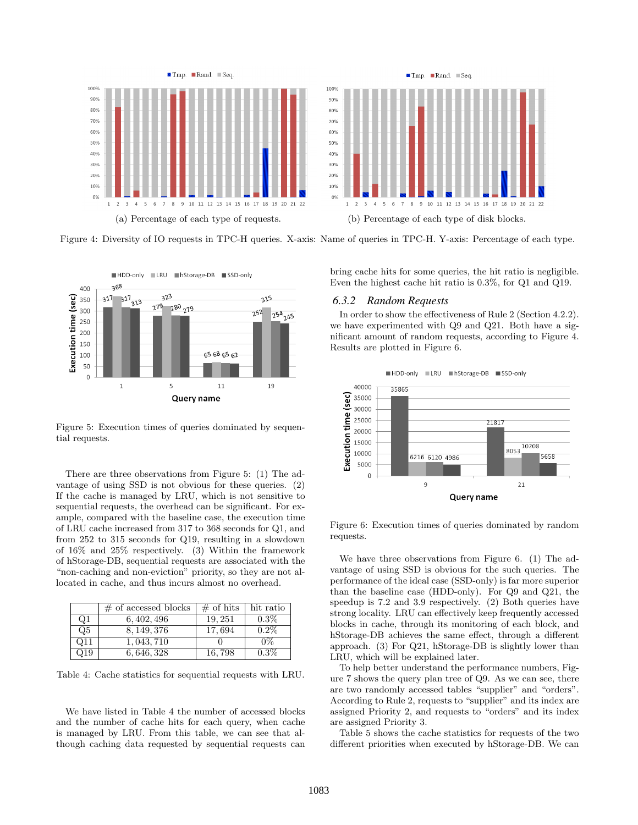

Figure 4: Diversity of IO requests in TPC-H queries. X-axis: Name of queries in TPC-H. Y-axis: Percentage of each type.



Figure 5: Execution times of queries dominated by sequential requests.

There are three observations from Figure 5: (1) The advantage of using SSD is not obvious for these queries. (2) If the cache is managed by LRU, which is not sensitive to sequential requests, the overhead can be significant. For example, compared with the baseline case, the execution time of LRU cache increased from 317 to 368 seconds for Q1, and from 252 to 315 seconds for Q19, resulting in a slowdown of 16% and 25% respectively. (3) Within the framework of hStorage-DB, sequential requests are associated with the "non-caching and non-eviction" priority, so they are not allocated in cache, and thus incurs almost no overhead.

|          | $\#$ of accessed blocks | $#$ of hits | hit ratio |
|----------|-------------------------|-------------|-----------|
| Q1       | 6, 402, 496             | 19.251      | $0.3\%$   |
| $Q_{.}5$ | 8, 149, 376             | 17,694      | $0.2\%$   |
| Q11      | 1,043,710               |             | $0\%$     |
| Q19      | 6, 646, 328             | 16,798      | $0.3\%$   |

Table 4: Cache statistics for sequential requests with LRU.

We have listed in Table 4 the number of accessed blocks and the number of cache hits for each query, when cache is managed by LRU. From this table, we can see that although caching data requested by sequential requests can bring cache hits for some queries, the hit ratio is negligible. Even the highest cache hit ratio is 0.3%, for Q1 and Q19.

#### *6.3.2 Random Requests*

In order to show the effectiveness of Rule 2 (Section 4.2.2). we have experimented with Q9 and Q21. Both have a significant amount of random requests, according to Figure 4. Results are plotted in Figure 6.



Figure 6: Execution times of queries dominated by random requests.

We have three observations from Figure 6. (1) The advantage of using SSD is obvious for the such queries. The performance of the ideal case (SSD-only) is far more superior than the baseline case (HDD-only). For Q9 and Q21, the speedup is 7.2 and 3.9 respectively. (2) Both queries have strong locality. LRU can effectively keep frequently accessed blocks in cache, through its monitoring of each block, and hStorage-DB achieves the same effect, through a different approach. (3) For Q21, hStorage-DB is slightly lower than LRU, which will be explained later.

To help better understand the performance numbers, Figure 7 shows the query plan tree of Q9. As we can see, there are two randomly accessed tables "supplier" and "orders". According to Rule 2, requests to "supplier" and its index are assigned Priority 2, and requests to "orders" and its index are assigned Priority 3.

Table 5 shows the cache statistics for requests of the two different priorities when executed by hStorage-DB. We can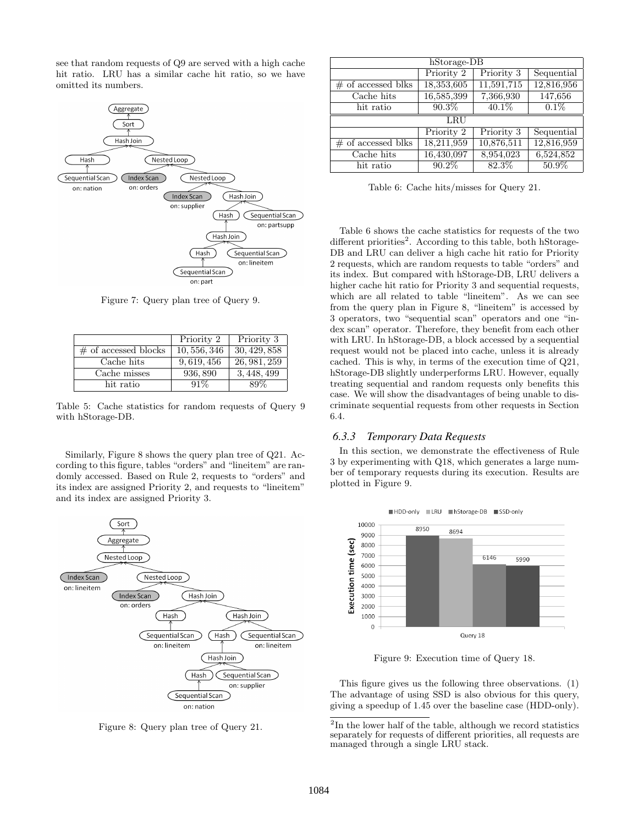see that random requests of Q9 are served with a high cache hit ratio. LRU has a similar cache hit ratio, so we have omitted its numbers.



Figure 7: Query plan tree of Query 9.

|                         | Priority 2   | Priority 3   |
|-------------------------|--------------|--------------|
| $\#$ of accessed blocks | 10, 556, 346 | 30, 429, 858 |
| Cache hits              | 9,619,456    | 26, 981, 259 |
| Cache misses            | 936, 890     | 3, 448, 499  |
| hit ratio               | 91%          | 89%          |

Table 5: Cache statistics for random requests of Query 9 with hStorage-DB.

Similarly, Figure 8 shows the query plan tree of Q21. According to this figure, tables "orders" and "lineitem" are randomly accessed. Based on Rule 2, requests to "orders" and its index are assigned Priority 2, and requests to "lineitem" and its index are assigned Priority 3.



Figure 8: Query plan tree of Query 21.

| hStorage-DB           |            |            |            |  |
|-----------------------|------------|------------|------------|--|
|                       | Priority 2 | Priority 3 | Sequential |  |
| $\#$ of accessed blks | 18,353,605 | 11,591,715 | 12,816,956 |  |
| Cache hits            | 16,585,399 | 7,366,930  | 147,656    |  |
| hit ratio             | 90.3%      | 40.1%      | $0.1\%$    |  |
| LRU                   |            |            |            |  |
|                       |            |            |            |  |
|                       | Priority 2 | Priority 3 | Sequential |  |
| $#$ of accessed blks  | 18,211,959 | 10,876,511 | 12,816,959 |  |
| Cache hits            | 16,430,097 | 8,954,023  | 6,524,852  |  |
| hit ratio             | $90.2\%$   | 82.3%      | 50.9%      |  |

Table 6: Cache hits/misses for Query 21.

Table 6 shows the cache statistics for requests of the two different priorities<sup>2</sup>. According to this table, both hStorage-DB and LRU can deliver a high cache hit ratio for Priority 2 requests, which are random requests to table "orders" and its index. But compared with hStorage-DB, LRU delivers a higher cache hit ratio for Priority 3 and sequential requests, which are all related to table "lineitem". As we can see from the query plan in Figure 8, "lineitem" is accessed by 3 operators, two "sequential scan" operators and one "index scan" operator. Therefore, they benefit from each other with LRU. In hStorage-DB, a block accessed by a sequential request would not be placed into cache, unless it is already cached. This is why, in terms of the execution time of Q21, hStorage-DB slightly underperforms LRU. However, equally treating sequential and random requests only benefits this case. We will show the disadvantages of being unable to discriminate sequential requests from other requests in Section 6.4.

#### *6.3.3 Temporary Data Requests*

In this section, we demonstrate the effectiveness of Rule 3 by experimenting with Q18, which generates a large number of temporary requests during its execution. Results are plotted in Figure 9.



Figure 9: Execution time of Query 18.

This figure gives us the following three observations. (1) The advantage of using SSD is also obvious for this query, giving a speedup of 1.45 over the baseline case (HDD-only).

 $2$ In the lower half of the table, although we record statistics separately for requests of different priorities, all requests are managed through a single LRU stack.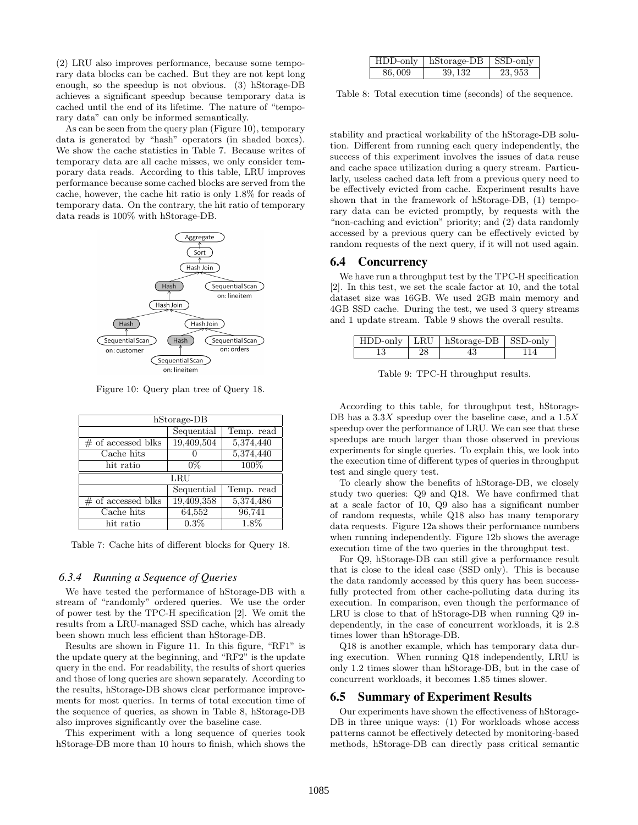(2) LRU also improves performance, because some temporary data blocks can be cached. But they are not kept long enough, so the speedup is not obvious. (3) hStorage-DB achieves a significant speedup because temporary data is cached until the end of its lifetime. The nature of "temporary data" can only be informed semantically.

As can be seen from the query plan (Figure 10), temporary data is generated by "hash" operators (in shaded boxes). We show the cache statistics in Table 7. Because writes of temporary data are all cache misses, we only consider temporary data reads. According to this table, LRU improves performance because some cached blocks are served from the cache, however, the cache hit ratio is only 1.8% for reads of temporary data. On the contrary, the hit ratio of temporary data reads is 100% with hStorage-DB.



Figure 10: Query plan tree of Query 18.

| hStorage-DB           |            |            |  |
|-----------------------|------------|------------|--|
|                       | Sequential | Temp. read |  |
| $\#$ of accessed blks | 19,409,504 | 5,374,440  |  |
| Cache hits            |            | 5,374,440  |  |
| hit ratio             | 0%         | 100%       |  |
| LRU                   |            |            |  |
|                       |            |            |  |
|                       | Sequential | Temp. read |  |
| $#$ of accessed blks  | 19,409,358 | 5,374,486  |  |
| Cache hits            | 64,552     | 96,741     |  |

Table 7: Cache hits of different blocks for Query 18.

#### *6.3.4 Running a Sequence of Queries*

We have tested the performance of hStorage-DB with a stream of "randomly" ordered queries. We use the order of power test by the TPC-H specification [2]. We omit the results from a LRU-managed SSD cache, which has already been shown much less efficient than hStorage-DB.

Results are shown in Figure 11. In this figure, "RF1" is the update query at the beginning, and "RF2" is the update query in the end. For readability, the results of short queries and those of long queries are shown separately. According to the results, hStorage-DB shows clear performance improvements for most queries. In terms of total execution time of the sequence of queries, as shown in Table 8, hStorage-DB also improves significantly over the baseline case.

This experiment with a long sequence of queries took hStorage-DB more than 10 hours to finish, which shows the

|        | $HDD-only   hStorage-DB   SSD-only$ |         |
|--------|-------------------------------------|---------|
| 86,009 | 39, 132                             | 23, 953 |

Table 8: Total execution time (seconds) of the sequence.

stability and practical workability of the hStorage-DB solution. Different from running each query independently, the success of this experiment involves the issues of data reuse and cache space utilization during a query stream. Particularly, useless cached data left from a previous query need to be effectively evicted from cache. Experiment results have shown that in the framework of hStorage-DB, (1) temporary data can be evicted promptly, by requests with the "non-caching and eviction" priority; and (2) data randomly accessed by a previous query can be effectively evicted by random requests of the next query, if it will not used again.

#### 6.4 Concurrency

We have run a throughput test by the TPC-H specification [2]. In this test, we set the scale factor at 10, and the total dataset size was 16GB. We used 2GB main memory and 4GB SSD cache. During the test, we used 3 query streams and 1 update stream. Table 9 shows the overall results.

|  | HDD-only   LRU   hStorage-DB   SSD-only |  |
|--|-----------------------------------------|--|
|  |                                         |  |

Table 9: TPC-H throughput results.

According to this table, for throughput test, hStorage-DB has a  $3.3X$  speedup over the baseline case, and a  $1.5X$ speedup over the performance of LRU. We can see that these speedups are much larger than those observed in previous experiments for single queries. To explain this, we look into the execution time of different types of queries in throughput test and single query test.

To clearly show the benefits of hStorage-DB, we closely study two queries: Q9 and Q18. We have confirmed that at a scale factor of 10, Q9 also has a significant number of random requests, while Q18 also has many temporary data requests. Figure 12a shows their performance numbers when running independently. Figure 12b shows the average execution time of the two queries in the throughput test.

For Q9, hStorage-DB can still give a performance result that is close to the ideal case (SSD only). This is because the data randomly accessed by this query has been successfully protected from other cache-polluting data during its execution. In comparison, even though the performance of LRU is close to that of hStorage-DB when running Q9 independently, in the case of concurrent workloads, it is 2.8 times lower than hStorage-DB.

Q18 is another example, which has temporary data during execution. When running Q18 independently, LRU is only 1.2 times slower than hStorage-DB, but in the case of concurrent workloads, it becomes 1.85 times slower.

#### 6.5 Summary of Experiment Results

Our experiments have shown the effectiveness of hStorage-DB in three unique ways: (1) For workloads whose access patterns cannot be effectively detected by monitoring-based methods, hStorage-DB can directly pass critical semantic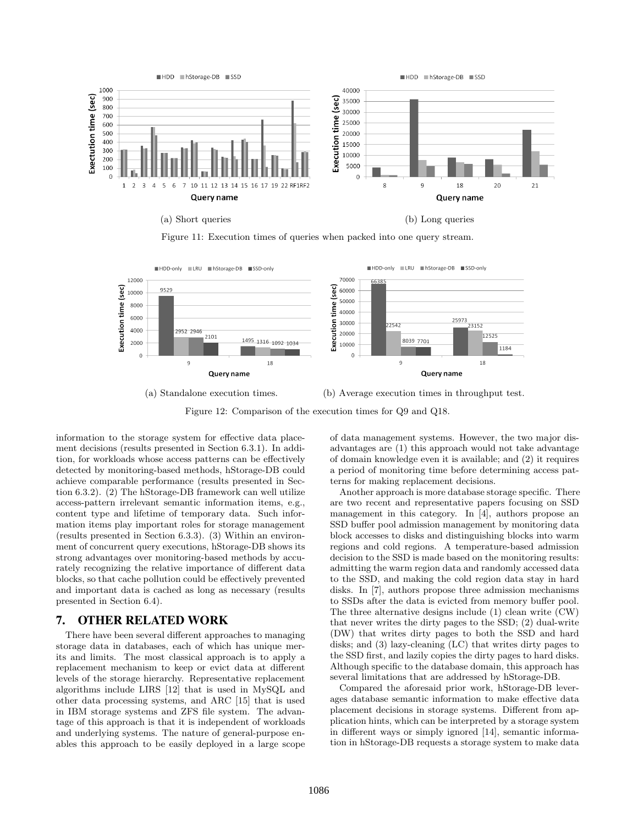

(a) Short queries (b) Long queries





(a) Standalone execution times. (b) Average execution times in throughput test.

Figure 12: Comparison of the execution times for Q9 and Q18.

information to the storage system for effective data placement decisions (results presented in Section 6.3.1). In addition, for workloads whose access patterns can be effectively detected by monitoring-based methods, hStorage-DB could achieve comparable performance (results presented in Section 6.3.2). (2) The hStorage-DB framework can well utilize access-pattern irrelevant semantic information items, e.g., content type and lifetime of temporary data. Such information items play important roles for storage management (results presented in Section 6.3.3). (3) Within an environment of concurrent query executions, hStorage-DB shows its strong advantages over monitoring-based methods by accurately recognizing the relative importance of different data blocks, so that cache pollution could be effectively prevented and important data is cached as long as necessary (results presented in Section 6.4).

## 7. OTHER RELATED WORK

There have been several different approaches to managing storage data in databases, each of which has unique merits and limits. The most classical approach is to apply a replacement mechanism to keep or evict data at different levels of the storage hierarchy. Representative replacement algorithms include LIRS [12] that is used in MySQL and other data processing systems, and ARC [15] that is used in IBM storage systems and ZFS file system. The advantage of this approach is that it is independent of workloads and underlying systems. The nature of general-purpose enables this approach to be easily deployed in a large scope of data management systems. However, the two major disadvantages are (1) this approach would not take advantage of domain knowledge even it is available; and (2) it requires a period of monitoring time before determining access patterns for making replacement decisions.

Another approach is more database storage specific. There are two recent and representative papers focusing on SSD management in this category. In [4], authors propose an SSD buffer pool admission management by monitoring data block accesses to disks and distinguishing blocks into warm regions and cold regions. A temperature-based admission decision to the SSD is made based on the monitoring results: admitting the warm region data and randomly accessed data to the SSD, and making the cold region data stay in hard disks. In [7], authors propose three admission mechanisms to SSDs after the data is evicted from memory buffer pool. The three alternative designs include (1) clean write (CW) that never writes the dirty pages to the SSD; (2) dual-write (DW) that writes dirty pages to both the SSD and hard disks; and (3) lazy-cleaning (LC) that writes dirty pages to the SSD first, and lazily copies the dirty pages to hard disks. Although specific to the database domain, this approach has several limitations that are addressed by hStorage-DB.

Compared the aforesaid prior work, hStorage-DB leverages database semantic information to make effective data placement decisions in storage systems. Different from application hints, which can be interpreted by a storage system in different ways or simply ignored [14], semantic information in hStorage-DB requests a storage system to make data